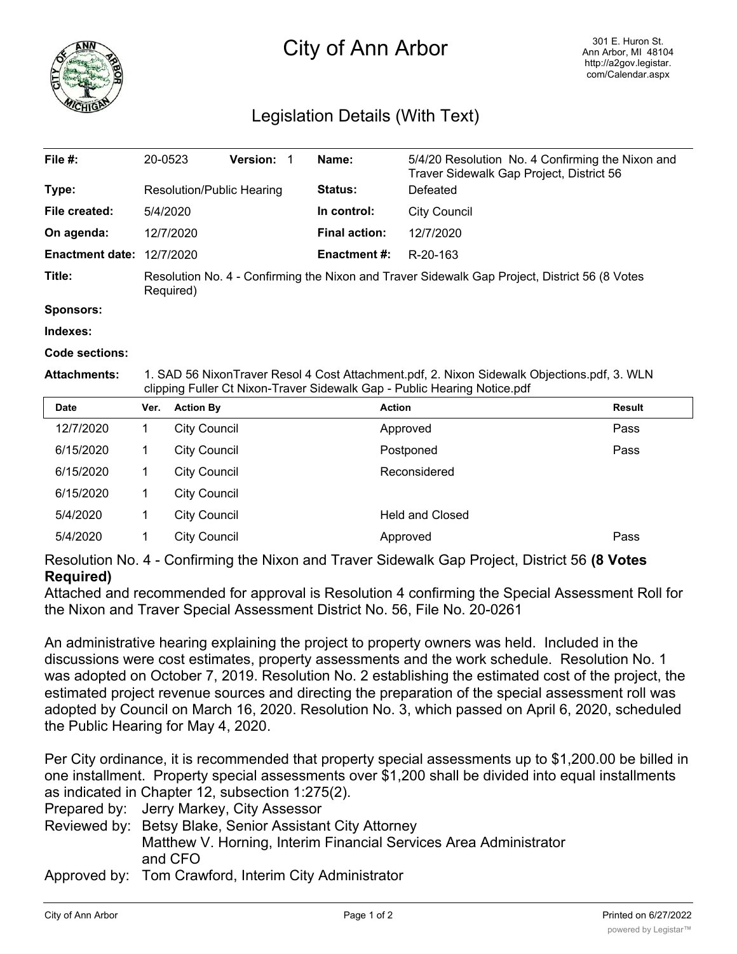

## City of Ann Arbor

## Legislation Details (With Text)

| File #:                | 20-0523                                                                                                    | <b>Version: 1</b> | Name:                | 5/4/20 Resolution No. 4 Confirming the Nixon and<br>Traver Sidewalk Gap Project, District 56 |  |  |
|------------------------|------------------------------------------------------------------------------------------------------------|-------------------|----------------------|----------------------------------------------------------------------------------------------|--|--|
| Type:                  | Resolution/Public Hearing                                                                                  |                   | <b>Status:</b>       | Defeated                                                                                     |  |  |
| File created:          | 5/4/2020                                                                                                   |                   | In control:          | City Council                                                                                 |  |  |
| On agenda:             | 12/7/2020                                                                                                  |                   | <b>Final action:</b> | 12/7/2020                                                                                    |  |  |
| <b>Enactment date:</b> | 12/7/2020                                                                                                  |                   | <b>Enactment #:</b>  | R-20-163                                                                                     |  |  |
| Title:                 | Resolution No. 4 - Confirming the Nixon and Traver Sidewalk Gap Project, District 56 (8 Votes<br>Required) |                   |                      |                                                                                              |  |  |
| <b>Sponsors:</b>       |                                                                                                            |                   |                      |                                                                                              |  |  |
| Indexes:               |                                                                                                            |                   |                      |                                                                                              |  |  |

**Code sections:**

**Attachments:** 1. SAD 56 NixonTraver Resol 4 Cost Attachment.pdf, 2. Nixon Sidewalk Objections.pdf, 3. WLN clipping Fuller Ct Nixon-Traver Sidewalk Gap - Public Hearing Notice.pdf

| <b>Date</b> | Ver. | <b>Action By</b>    | <b>Action</b>          | <b>Result</b> |
|-------------|------|---------------------|------------------------|---------------|
| 12/7/2020   |      | <b>City Council</b> | Approved               | Pass          |
| 6/15/2020   |      | <b>City Council</b> | Postponed              | Pass          |
| 6/15/2020   |      | <b>City Council</b> | Reconsidered           |               |
| 6/15/2020   |      | <b>City Council</b> |                        |               |
| 5/4/2020    |      | <b>City Council</b> | <b>Held and Closed</b> |               |
| 5/4/2020    |      | <b>City Council</b> | Approved               | Pass          |

Resolution No. 4 - Confirming the Nixon and Traver Sidewalk Gap Project, District 56 **(8 Votes Required)**

Attached and recommended for approval is Resolution 4 confirming the Special Assessment Roll for the Nixon and Traver Special Assessment District No. 56, File No. 20-0261

An administrative hearing explaining the project to property owners was held. Included in the discussions were cost estimates, property assessments and the work schedule. Resolution No. 1 was adopted on October 7, 2019. Resolution No. 2 establishing the estimated cost of the project, the estimated project revenue sources and directing the preparation of the special assessment roll was adopted by Council on March 16, 2020. Resolution No. 3, which passed on April 6, 2020, scheduled the Public Hearing for May 4, 2020.

Per City ordinance, it is recommended that property special assessments up to \$1,200.00 be billed in one installment. Property special assessments over \$1,200 shall be divided into equal installments as indicated in Chapter 12, subsection 1:275(2).

Prepared by: Jerry Markey, City Assessor

- Reviewed by: Betsy Blake, Senior Assistant City Attorney Matthew V. Horning, Interim Financial Services Area Administrator and CFO
- Approved by: Tom Crawford, Interim City Administrator